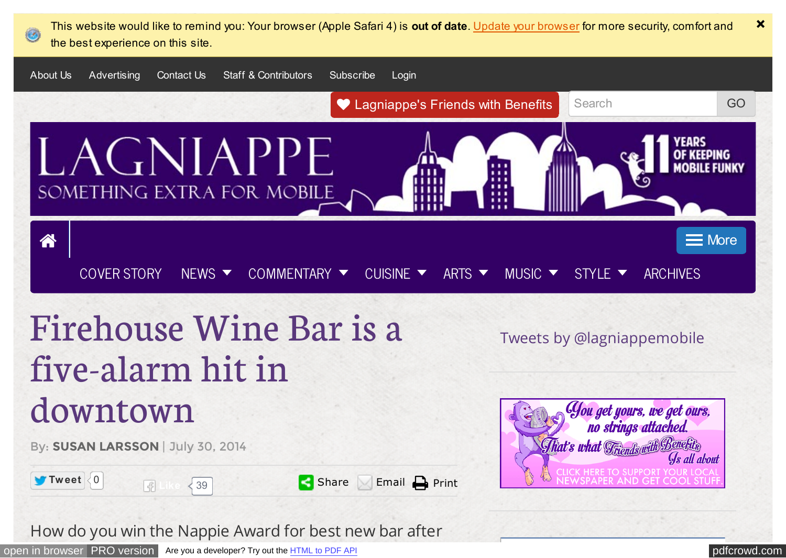<span id="page-0-0"></span>

How do you win the Nappie Award for best new bar after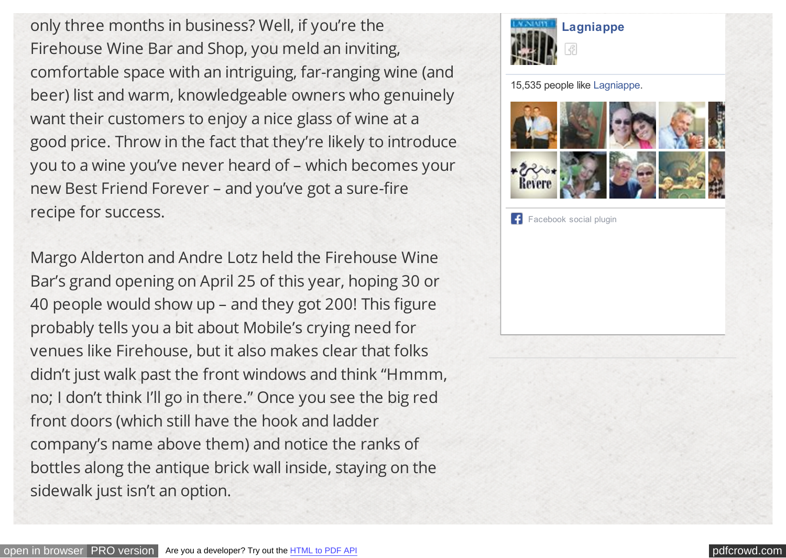only three months in business? Well, if you're the Firehouse Wine Bar and Shop, you meld an inviting, comfortable space with an intriguing, far-ranging wine (and beer) list and warm, knowledgeable owners who genuinely want their customers to enjoy a nice glass of wine at a good price. Throw in the fact that they're likely to introduce you to a wine you've never heard of – which becomes your new Best Friend Forever – and you've got a sure-fire recipe for success.

Margo Alderton and Andre Lotz held the Firehouse Wine Bar's grand opening on April 25 of this year, hoping 30 or 40 people would show up – and they got 200! This figure probably tells you a bit about Mobile's crying need for venues like Firehouse, but it also makes clear that folks didn't just walk past the front windows and think "Hmmm, no; I don't think I'll go in there." Once you see the big red front doors (which still have the hook and ladder company's name above them) and notice the ranks of bottles along the antique brick wall inside, staying on the sidewalk just isn't an option.



15,535 people like [Lagniappe.](http://www.facebook.com/lagniappemobile)



[Facebook social plugin](https://www.facebook.com/help/?page=209089222464503)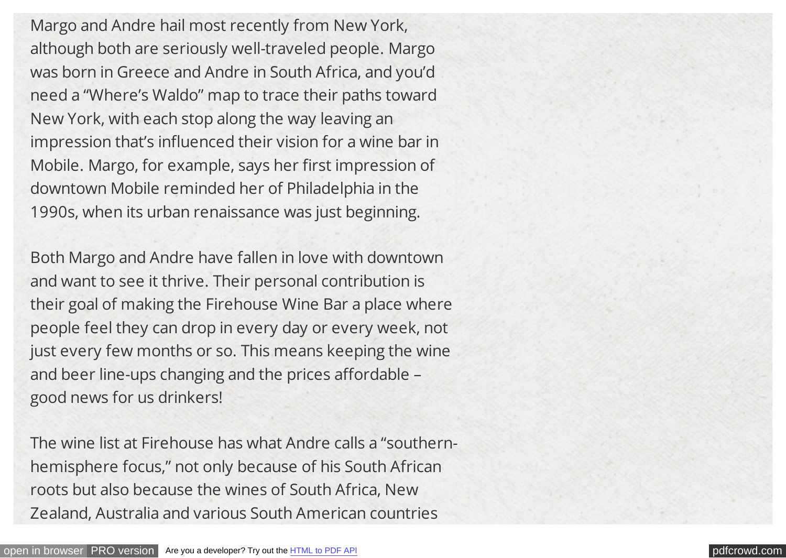Margo and Andre hail most recently from New York, although both are seriously well-traveled people. Margo was born in Greece and Andre in South Africa, and you'd need a "Where's Waldo" map to trace their paths toward New York, with each stop along the way leaving an impression that's influenced their vision for a wine bar in Mobile. Margo, for example, says her first impression of downtown Mobile reminded her of Philadelphia in the 1990s, when its urban renaissance was just beginning.

Both Margo and Andre have fallen in love with downtown and want to see it thrive. Their personal contribution is their goal of making the Firehouse Wine Bar a place where people feel they can drop in every day or every week, not just every few months or so. This means keeping the wine and beer line-ups changing and the prices affordable – good news for us drinkers!

The wine list at Firehouse has what Andre calls a "southernhemisphere focus," not only because of his South African roots but also because the wines of South Africa, New Zealand, Australia and various South American countries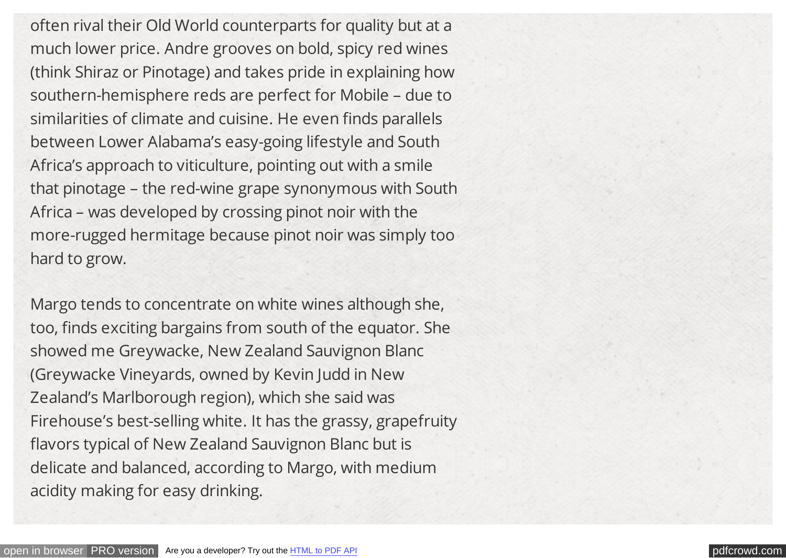often rival their Old World counterparts for quality but at a much lower price. Andre grooves on bold, spicy red wines (think Shiraz or Pinotage) and takes pride in explaining how southern-hemisphere reds are perfect for Mobile – due to similarities of climate and cuisine. He even finds parallels between Lower Alabama's easy-going lifestyle and South Africa's approach to viticulture, pointing out with a smile that pinotage – the red-wine grape synonymous with South Africa – was developed by crossing pinot noir with the more-rugged hermitage because pinot noir was simply too hard to grow.

Margo tends to concentrate on white wines although she, too, finds exciting bargains from south of the equator. She showed me Greywacke, New Zealand Sauvignon Blanc (Greywacke Vineyards, owned by Kevin Judd in New Zealand's Marlborough region), which she said was Firehouse's best-selling white. It has the grassy, grapefruity flavors typical of New Zealand Sauvignon Blanc but is delicate and balanced, according to Margo, with medium acidity making for easy drinking.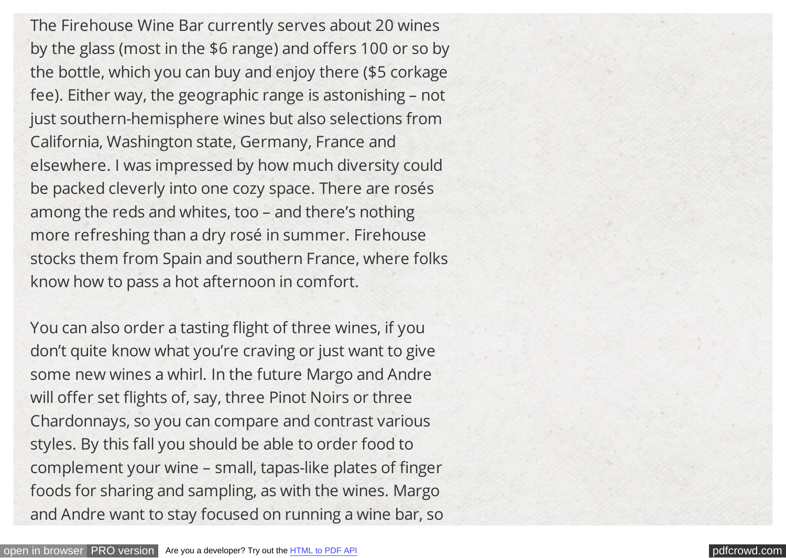The Firehouse Wine Bar currently serves about 20 wines by the glass (most in the \$6 range) and offers 100 or so by the bottle, which you can buy and enjoy there (\$5 corkage fee). Either way, the geographic range is astonishing – not just southern-hemisphere wines but also selections from California, Washington state, Germany, France and elsewhere. I was impressed by how much diversity could be packed cleverly into one cozy space. There are rosés among the reds and whites, too – and there's nothing more refreshing than a dry rosé in summer. Firehouse stocks them from Spain and southern France, where folks know how to pass a hot afternoon in comfort.

You can also order a tasting flight of three wines, if you don't quite know what you're craving or just want to give some new wines a whirl. In the future Margo and Andre will offer set flights of, say, three Pinot Noirs or three Chardonnays, so you can compare and contrast various styles. By this fall you should be able to order food to complement your wine – small, tapas-like plates of finger foods for sharing and sampling, as with the wines. Margo and Andre want to stay focused on running a wine bar, so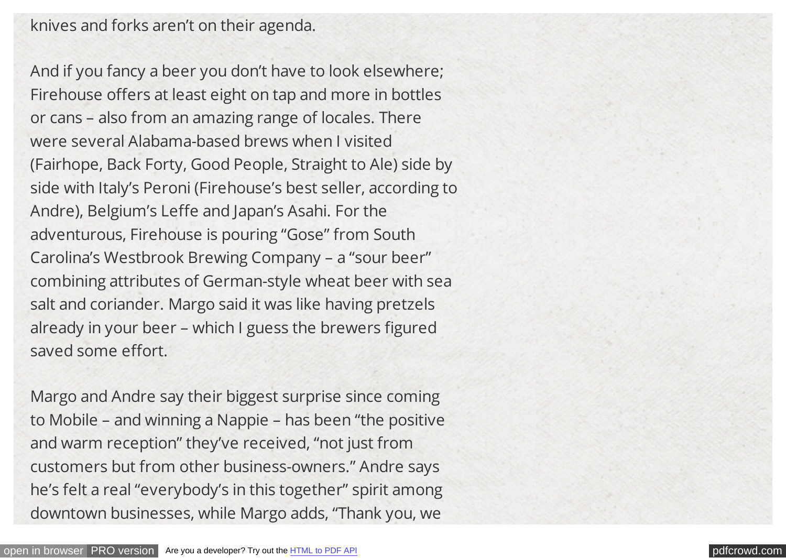knives and forks aren't on their agenda.

And if you fancy a beer you don't have to look elsewhere; Firehouse offers at least eight on tap and more in bottles or cans – also from an amazing range of locales. There were several Alabama-based brews when I visited (Fairhope, Back Forty, Good People, Straight to Ale) side by side with Italy's Peroni (Firehouse's best seller, according to Andre), Belgium's Leffe and Japan's Asahi. For the adventurous, Firehouse is pouring "Gose" from South Carolina's Westbrook Brewing Company – a "sour beer" combining attributes of German-style wheat beer with sea salt and coriander. Margo said it was like having pretzels already in your beer – which I guess the brewers figured saved some effort.

Margo and Andre say their biggest surprise since coming to Mobile – and winning a Nappie – has been "the positive and warm reception" they've received, "not just from customers but from other business-owners." Andre says he's felt a real "everybody's in this together" spirit among downtown businesses, while Margo adds, "Thank you, we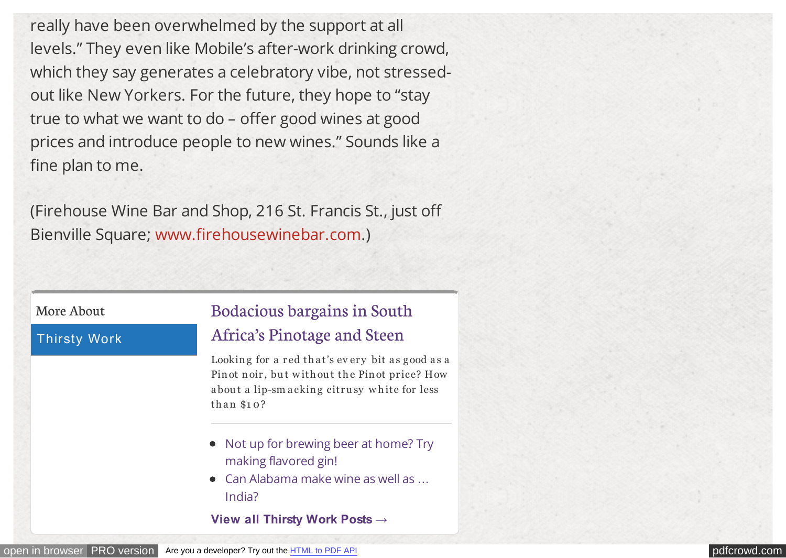really have been overwhelmed by the support at all levels." They even like Mobile's after-work drinking crowd, which they say generates a celebratory vibe, not stressedout like New Yorkers. For the future, they hope to "stay true to what we want to do – offer good wines at good prices and introduce people to new wines." Sounds like a fine plan to me.

(Firehouse Wine Bar and Shop, 216 St. Francis St., just off Bienville Square; [www.firehousewinebar.com.](http://www.firehousewinebar.com/))

#### More About

#### Thirsty Work

# [Bodacious bargains in South](http://lagniappemobile.com/bodacious-bargains-south-africas-pinotage-steen/)

## Africa's Pinotage and Steen

Looking for a red that's every bit as good as a Pin ot noir, but without the Pin ot price? How about a lip-sm acking citrusy white for less than \$10?

- [Not up for brewing beer at home? Try](http://lagniappemobile.com/brewing-beer-home-try-making-flavored-gin/) making flavored gin!
- [Can Alabama make wine as well as](http://lagniappemobile.com/can-alabama-make-wine-well-india/) ... India?

**[View all Thirsty Work Posts →](http://lagniappemobile.com/category/cuisine/thirsty/)**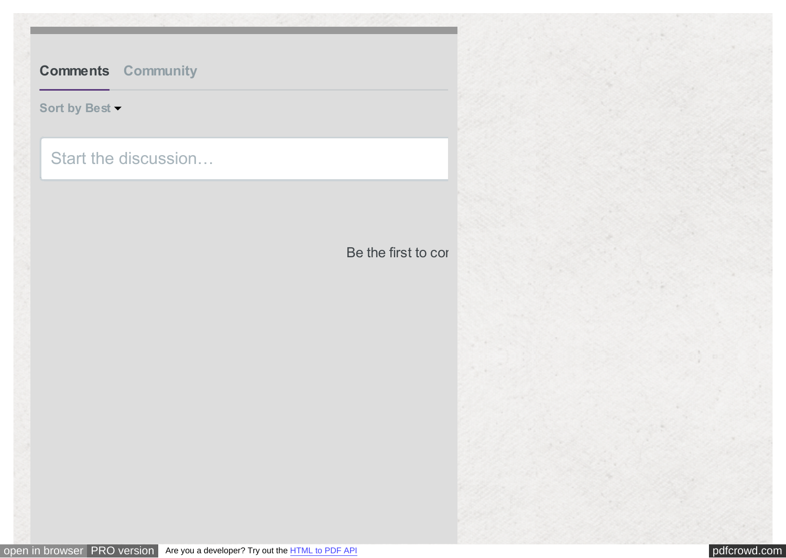# **[Comments](#page-0-0) [Community](#page-0-0)**

## **[Sort by Best](#page-0-0)**

# Start the discussion…

Be the first to con-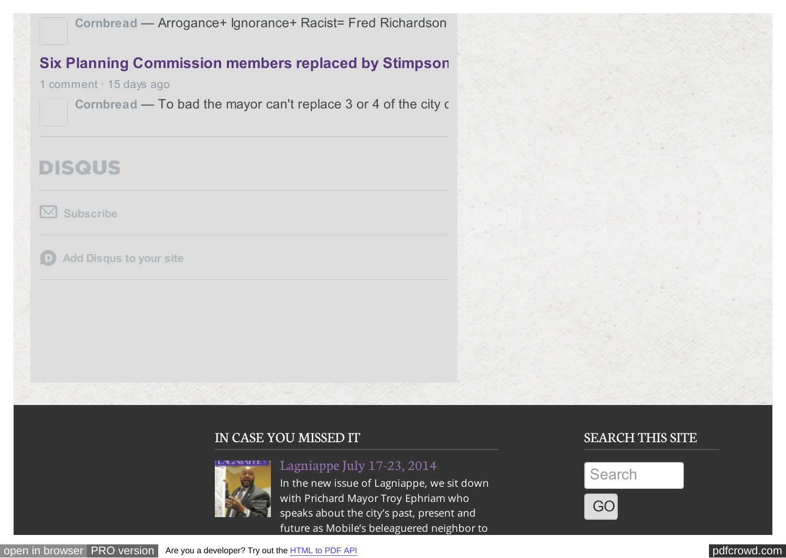**Cornbread** [— Arrogance+ Ignorance+ Racist= Fred Richardson](http://redirect.disqus.com/url?url=http%3A%2F%2Flagniappemobile.com%2Frichardson-defends-travel-records-council-meeting%2F%3AA10G3aTuH3rYzfQ8ztoEl4PO31o&imp=6fu2jufsu9fhl&prev_imp&forum_id=2563112&forum=lagniappemobile&thread_id=2885713640&major_version=metadata&thread=2864861548&zone=internal_discovery)

## **[Six Planning Commission members replaced by Stimpson](http://redirect.disqus.com/url?url=http%3A%2F%2Flagniappemobile.com%2Fsix-planning-commission-members-replaced-stimpson%2F%3AXJx3oxKHyAO0X6Y7svmauz_U-bQ&imp=6fu2jufsu9fhl&prev_imp&forum_id=2563112&forum=lagniappemobile&thread_id=2885713640&major_version=metadata&thread=2854904745&zone=internal_discovery)**

1 comment • 15 days ago

Cornbread — To bad the mayor can't replace 3 or 4 of the city of

# **DISQUS**

**[Subscribe](#page-0-0)**

**[Add Disqus to your site](https://disqus.com/websites/?utm_source=lagniappemobile&utm_medium=Disqus-Footer)**  $\Box$ 

### IN CASE YOU MISSED IT



[Lagniappe July 17-23, 2014](http://www.pageturnpro.com/Lagniappe/59689-Lagniappe-071714/index.html#1)

In the new issue of Lagniappe, we sit down with Prichard Mayor Troy Ephriam who speaks about the city's past, present and future as Mobile's beleaguered neighbor to

## SEARCH THIS SITE

BROWSE ARCHIVES